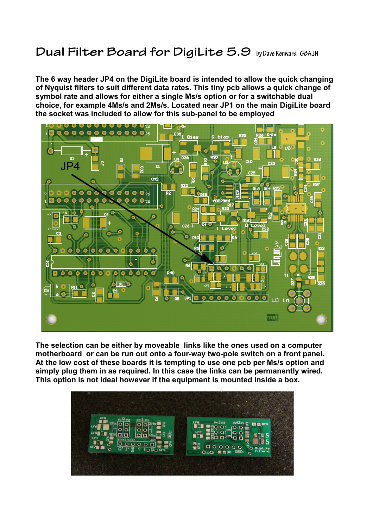## **Dual Filter Board for DigiLite 5.9 by Dave Kenward G8AJN**

**The 6 way header JP4 on the DigiLite board is intended to allow the quick changing of Nyquist filters to suit different data rates. This tiny pcb allows a quick change of symbol rate and allows for either a single Ms/s option or for a switchable dual choice, for example 4Ms/s and 2Ms/s. Located near JP1 on the main DigiLite board the socket was included to allow for this sub-panel to be employed** 



**The selection can be either by moveable links like the ones used on a computer motherboard or can be run out onto a four-way two-pole switch on a front panel. At the low cost of these boards it is tempting to use one pcb per Ms/s option and simply plug them in as required. In this case the links can be permanently wired. This option is not ideal however if the equipment is mounted inside a box.** 

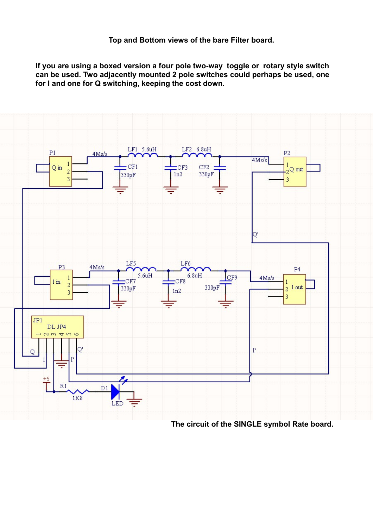**If you are using a boxed version a four pole two-way toggle or rotary style switch can be used. Two adjacently mounted 2 pole switches could perhaps be used, one for I and one for Q switching, keeping the cost down.** 



 **The circuit of the SINGLE symbol Rate board.**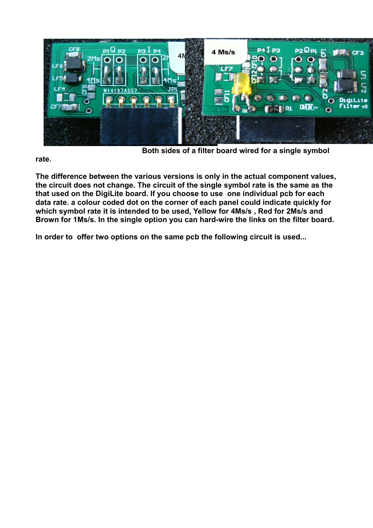

 **Both sides of a filter board wired for a single symbol** 

**rate.**

**The difference between the various versions is only in the actual component values, the circuit does not change. The circuit of the single symbol rate is the same as the that used on the DigiLite board. If you choose to use one individual pcb for each data rate. a colour coded dot on the corner of each panel could indicate quickly for which symbol rate it is intended to be used, Yellow for 4Ms/s , Red for 2Ms/s and Brown for 1Ms/s. In the single option you can hard-wire the links on the filter board.**

**In order to offer two options on the same pcb the following circuit is used...**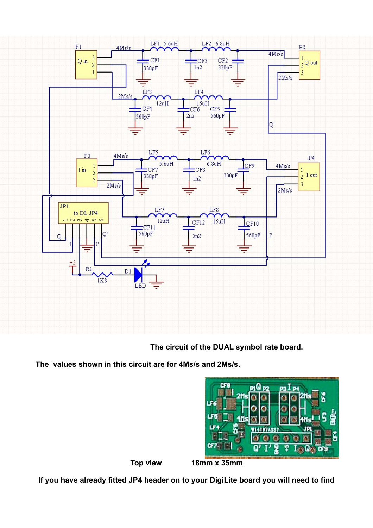

 **The circuit of the DUAL symbol rate board.**

**The values shown in this circuit are for 4Ms/s and 2Ms/s.**



**Top view 18mm x 35mm**

**If you have already fitted JP4 header on to your DigiLite board you will need to find**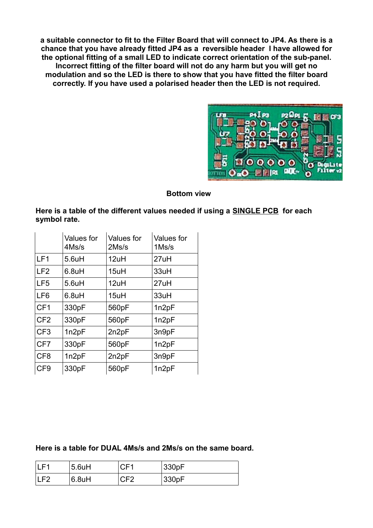**a suitable connector to fit to the Filter Board that will connect to JP4. As there is a chance that you have already fitted JP4 as a reversible header I have allowed for the optional fitting of a small LED to indicate correct orientation of the sub-panel. Incorrect fitting of the filter board will not do any harm but you will get no modulation and so the LED is there to show that you have fitted the filter board correctly. If you have used a polarised header then the LED is not required.**



## **Bottom view**

**Here is a table of the different values needed if using a SINGLE PCB for each symbol rate.**

|                 | Values for<br>4Ms/s | Values for<br>2Ms/s | <b>Values</b> for<br>$1$ Ms/s |
|-----------------|---------------------|---------------------|-------------------------------|
| LF <sub>1</sub> | $5.6$ uH            | 12uH                | 27uH                          |
| LF <sub>2</sub> | $6.8$ uH            | 15uH                | 33uH                          |
| LF <sub>5</sub> | $5.6$ uH            | 12uH                | 27uH                          |
| LF <sub>6</sub> | $6.8$ uH            | 15uH                | 33uH                          |
| CF <sub>1</sub> | 330pF               | 560pF               | 1n2pF                         |
| CF <sub>2</sub> | 330pF               | 560pF               | 1n2pF                         |
| CF <sub>3</sub> | 1n2pF               | 2n2pF               | 3n9pF                         |
| CF7             | 330pF               | 560pF               | 1n2pF                         |
| CF <sub>8</sub> | 1n2pF               | 2n2pF               | 3n9pF                         |
| CF <sub>9</sub> | 330pF               | 560pF               | 1n2pF                         |

**Here is a table for DUAL 4Ms/s and 2Ms/s on the same board.** 

| . 64  | $5.6$ uH           | CF1 | 330pF |
|-------|--------------------|-----|-------|
| II E2 | 6.8 <sub>u</sub> H | CF2 | 330pF |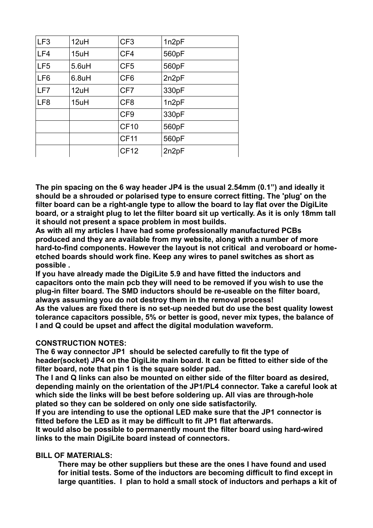| LF <sub>3</sub> | 12uH     | CF <sub>3</sub> | 1n2pF |
|-----------------|----------|-----------------|-------|
| LF4             | 15uH     | CF4             | 560pF |
| LF <sub>5</sub> | $5.6$ uH | CF <sub>5</sub> | 560pF |
| LF <sub>6</sub> | $6.8$ uH | CF <sub>6</sub> | 2n2pF |
| LF7             | 12uH     | CF7             | 330pF |
| LF <sub>8</sub> | 15uH     | CF <sub>8</sub> | 1n2pF |
|                 |          | CF <sub>9</sub> | 330pF |
|                 |          | <b>CF10</b>     | 560pF |
|                 |          | <b>CF11</b>     | 560pF |
|                 |          | <b>CF12</b>     | 2n2pF |

**The pin spacing on the 6 way header JP4 is the usual 2.54mm (0.1") and ideally it should be a shrouded or polarised type to ensure correct fitting. The 'plug' on the filter board can be a right-angle type to allow the board to lay flat over the DigiLite board, or a straight plug to let the filter board sit up vertically. As it is only 18mm tall it should not present a space problem in most builds.**

**As with all my articles I have had some professionally manufactured PCBs produced and they are available from my website, along with a number of more hard-to-find components. However the layout is not critical and veroboard or homeetched boards should work fine. Keep any wires to panel switches as short as possible .**

**If you have already made the DigiLite 5.9 and have fitted the inductors and capacitors onto the main pcb they will need to be removed if you wish to use the plug-in filter board. The SMD inductors should be re-useable on the filter board, always assuming you do not destroy them in the removal process!**

**As the values are fixed there is no set-up needed but do use the best quality lowest tolerance capacitors possible, 5% or better is good, never mix types, the balance of I and Q could be upset and affect the digital modulation waveform.**

## **CONSTRUCTION NOTES:**

**The 6 way connector JP1 should be selected carefully to fit the type of header(socket) JP4 on the DigiLite main board. It can be fitted to either side of the filter board, note that pin 1 is the square solder pad.**

**The I and Q links can also be mounted on either side of the filter board as desired, depending mainly on the orientation of the JP1/PL4 connector. Take a careful look at which side the links will be best before soldering up. All vias are through-hole plated so they can be soldered on only one side satisfactorily.**

**If you are intending to use the optional LED make sure that the JP1 connector is fitted before the LED as it may be difficult to fit JP1 flat afterwards.**

**It would also be possible to permanently mount the filter board using hard-wired links to the main DigiLite board instead of connectors.** 

## **BILL OF MATERIALS:**

**There may be other suppliers but these are the ones I have found and used for initial tests. Some of the inductors are becoming difficult to find except in large quantities. I plan to hold a small stock of inductors and perhaps a kit of**